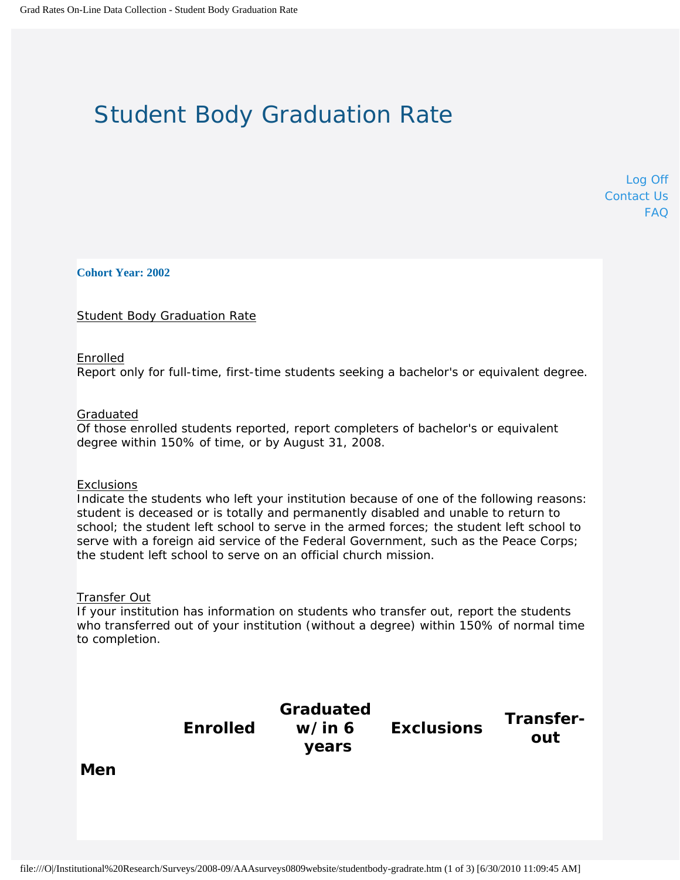# Student Body Graduation Rate

[Log Off](http://web1.ncaa.org/GradRates/exec/log_off) [Contact Us](http://web1.ncaa.org/GradRates/exec/go_help) [FAQ](http://web1.ncaa.org/GradRates/exec/go_faq)

**Cohort Year: 2002**

Student Body Graduation Rate

## Enrolled

Report only for full-time, first-time students seeking a bachelor's or equivalent degree.

## Graduated

Of those enrolled students reported, report completers of bachelor's or equivalent degree within 150% of time, or by August 31, 2008.

#### Exclusions

Indicate the students who left your institution because of one of the following reasons: student is deceased or is totally and permanently disabled and unable to return to school; the student left school to serve in the armed forces; the student left school to serve with a foreign aid service of the Federal Government, such as the Peace Corps; the student left school to serve on an official church mission.

## Transfer Out

If your institution has information on students who transfer out, report the students who transferred out of your institution (without a degree) within 150% of normal time to completion.

**Enrolled**

**Graduated w/in 6 years**

**Exclusions Transferout**

**Men**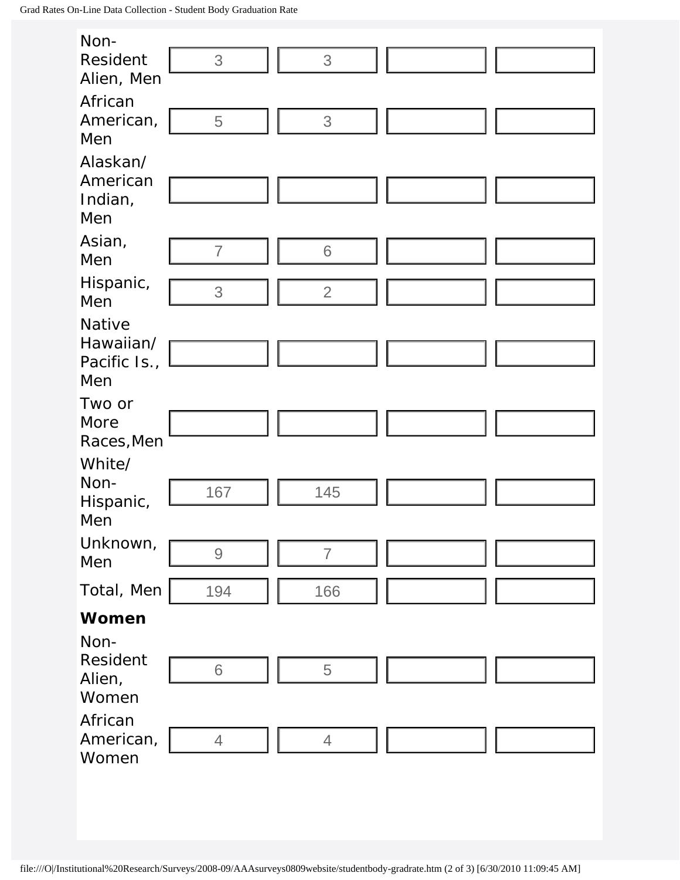| Non-                                                                                                                                |                                                           |                |  |  |  |  |
|-------------------------------------------------------------------------------------------------------------------------------------|-----------------------------------------------------------|----------------|--|--|--|--|
| Resident                                                                                                                            | 3                                                         | 3              |  |  |  |  |
| Alien, Men                                                                                                                          |                                                           |                |  |  |  |  |
| African                                                                                                                             |                                                           |                |  |  |  |  |
| American,                                                                                                                           | 5                                                         | 3              |  |  |  |  |
| Men                                                                                                                                 |                                                           |                |  |  |  |  |
| Alaskan/                                                                                                                            |                                                           |                |  |  |  |  |
| American                                                                                                                            |                                                           |                |  |  |  |  |
| Indian,<br>Men                                                                                                                      |                                                           |                |  |  |  |  |
|                                                                                                                                     |                                                           |                |  |  |  |  |
| Asian,<br>Men                                                                                                                       | $\overline{7}$                                            | 6              |  |  |  |  |
|                                                                                                                                     |                                                           |                |  |  |  |  |
| Hispanic,<br>Men                                                                                                                    | 3                                                         | $\overline{2}$ |  |  |  |  |
| Native                                                                                                                              |                                                           |                |  |  |  |  |
| Hawaiian/                                                                                                                           |                                                           |                |  |  |  |  |
| Pacific Is.,                                                                                                                        |                                                           |                |  |  |  |  |
| Men                                                                                                                                 |                                                           |                |  |  |  |  |
| Two or                                                                                                                              |                                                           |                |  |  |  |  |
| More                                                                                                                                |                                                           |                |  |  |  |  |
| Races, Men                                                                                                                          |                                                           |                |  |  |  |  |
| White/                                                                                                                              |                                                           |                |  |  |  |  |
| Non-                                                                                                                                | 167                                                       | 145            |  |  |  |  |
| Hispanic,<br>Men                                                                                                                    |                                                           |                |  |  |  |  |
| Unknown,                                                                                                                            |                                                           |                |  |  |  |  |
| Men                                                                                                                                 | $\mathcal{G}% _{M_{1},M_{2}}^{\alpha,\beta}(\varepsilon)$ | $\overline{7}$ |  |  |  |  |
| Total, Men                                                                                                                          |                                                           |                |  |  |  |  |
|                                                                                                                                     | 194                                                       | 166            |  |  |  |  |
| <b>Women</b>                                                                                                                        |                                                           |                |  |  |  |  |
| Non-                                                                                                                                |                                                           |                |  |  |  |  |
| Resident<br>Alien,                                                                                                                  | $6\,$                                                     | $\overline{5}$ |  |  |  |  |
| Women                                                                                                                               |                                                           |                |  |  |  |  |
| African                                                                                                                             |                                                           |                |  |  |  |  |
| American,                                                                                                                           | $\overline{4}$                                            | $\overline{4}$ |  |  |  |  |
| Women                                                                                                                               |                                                           |                |  |  |  |  |
|                                                                                                                                     |                                                           |                |  |  |  |  |
|                                                                                                                                     |                                                           |                |  |  |  |  |
|                                                                                                                                     |                                                           |                |  |  |  |  |
|                                                                                                                                     |                                                           |                |  |  |  |  |
| file:///O /Institutional%20Research/Surveys/2008-09/AAAsurveys0809website/studentbody-gradrate.htm (2 of 3) [6/30/2010 11:09:45 AM] |                                                           |                |  |  |  |  |